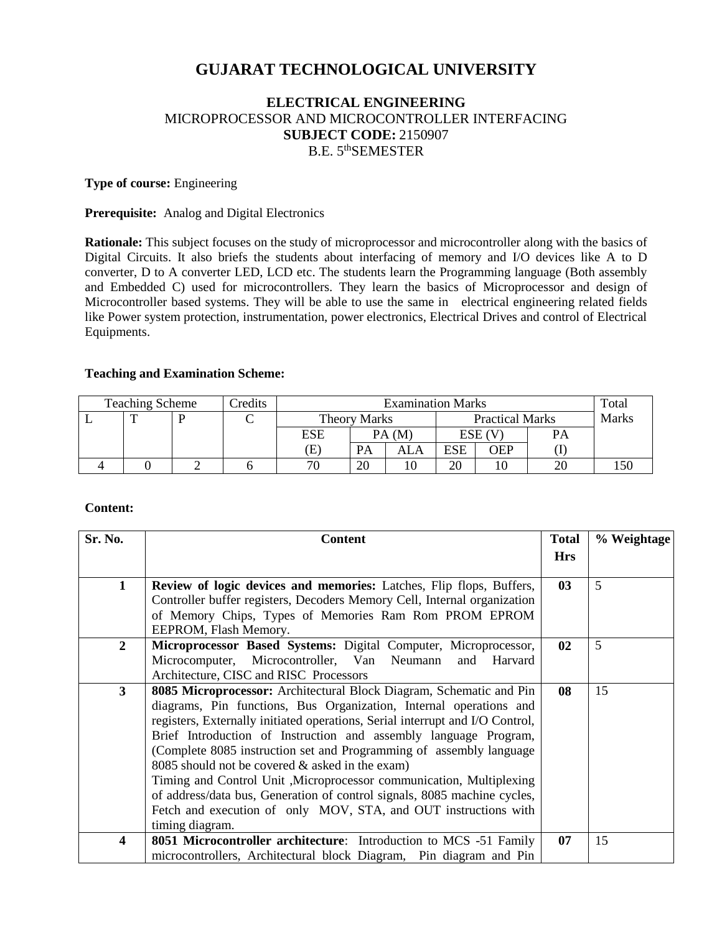# **GUJARAT TECHNOLOGICAL UNIVERSITY**

## **ELECTRICAL ENGINEERING** MICROPROCESSOR AND MICROCONTROLLER INTERFACING **SUBJECT CODE:** 2150907 B.E. 5<sup>th</sup>SEMESTER

### **Type of course:** Engineering

### **Prerequisite:** Analog and Digital Electronics

**Rationale:** This subject focuses on the study of microprocessor and microcontroller along with the basics of Digital Circuits. It also briefs the students about interfacing of memory and I/O devices like A to D converter, D to A converter LED, LCD etc. The students learn the Programming language (Both assembly and Embedded C) used for microcontrollers. They learn the basics of Microprocessor and design of Microcontroller based systems. They will be able to use the same in electrical engineering related fields like Power system protection, instrumentation, power electronics, Electrical Drives and control of Electrical Equipments.

### **Teaching and Examination Scheme:**

| <b>Teaching Scheme</b> |  |  | redits | <b>Examination Marks</b> |           |                        |            |        | Total        |  |
|------------------------|--|--|--------|--------------------------|-----------|------------------------|------------|--------|--------------|--|
|                        |  |  |        | <b>Theory Marks</b>      |           | <b>Practical Marks</b> |            |        | <b>Marks</b> |  |
|                        |  |  |        | ESE                      |           | PA(M)                  |            | ESE (V | PA           |  |
|                        |  |  |        | Œ)                       | <b>PA</b> | ALA                    | <b>ESE</b> | OEP    |              |  |
|                        |  |  |        | 70                       | 20        |                        | 20         |        |              |  |

### **Content:**

| Sr. No.                 | <b>Content</b>                                                                                                                                      |            | % Weightage |
|-------------------------|-----------------------------------------------------------------------------------------------------------------------------------------------------|------------|-------------|
|                         |                                                                                                                                                     | <b>Hrs</b> |             |
| 1                       | Review of logic devices and memories: Latches, Flip flops, Buffers,                                                                                 | 03         | 5           |
|                         | Controller buffer registers, Decoders Memory Cell, Internal organization                                                                            |            |             |
|                         | of Memory Chips, Types of Memories Ram Rom PROM EPROM<br>EEPROM, Flash Memory.                                                                      |            |             |
| $\overline{2}$          | Microprocessor Based Systems: Digital Computer, Microprocessor,                                                                                     | 02         | 5           |
|                         | Microcomputer, Microcontroller, Van Neumann<br>and<br>Harvard                                                                                       |            |             |
|                         | Architecture, CISC and RISC Processors                                                                                                              |            |             |
| $\mathbf{3}$            | 8085 Microprocessor: Architectural Block Diagram, Schematic and Pin                                                                                 | 08         | 15          |
|                         | diagrams, Pin functions, Bus Organization, Internal operations and<br>registers, Externally initiated operations, Serial interrupt and I/O Control, |            |             |
|                         | Brief Introduction of Instruction and assembly language Program,                                                                                    |            |             |
|                         | (Complete 8085 instruction set and Programming of assembly language                                                                                 |            |             |
|                         | 8085 should not be covered $&$ asked in the exam)                                                                                                   |            |             |
|                         | Timing and Control Unit , Microprocessor communication, Multiplexing                                                                                |            |             |
|                         | of address/data bus, Generation of control signals, 8085 machine cycles,                                                                            |            |             |
|                         | Fetch and execution of only MOV, STA, and OUT instructions with                                                                                     |            |             |
|                         | timing diagram.                                                                                                                                     |            |             |
| $\overline{\mathbf{4}}$ | <b>8051 Microcontroller architecture:</b> Introduction to MCS -51 Family                                                                            | 07         | 15          |
|                         | microcontrollers, Architectural block Diagram, Pin diagram and Pin                                                                                  |            |             |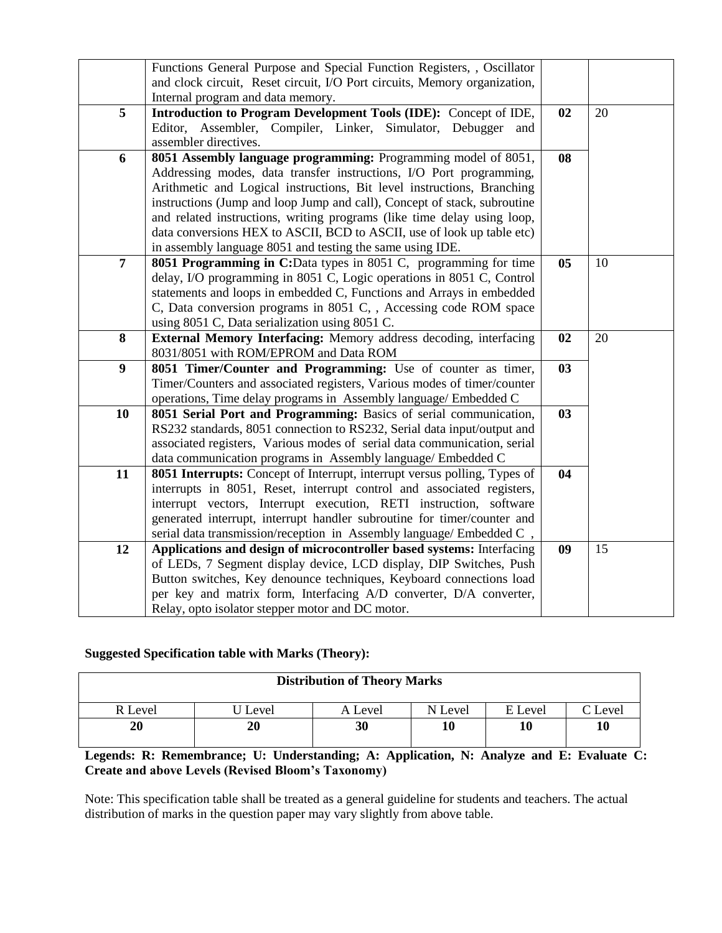|                  | Functions General Purpose and Special Function Registers, , Oscillator    |                 |    |
|------------------|---------------------------------------------------------------------------|-----------------|----|
|                  | and clock circuit, Reset circuit, I/O Port circuits, Memory organization, |                 |    |
|                  | Internal program and data memory.                                         |                 |    |
| 5                | Introduction to Program Development Tools (IDE): Concept of IDE,          | 02              | 20 |
|                  | Editor, Assembler, Compiler, Linker, Simulator, Debugger and              |                 |    |
|                  | assembler directives.                                                     |                 |    |
| 6                | 8051 Assembly language programming: Programming model of 8051,            | 08              |    |
|                  | Addressing modes, data transfer instructions, I/O Port programming,       |                 |    |
|                  | Arithmetic and Logical instructions, Bit level instructions, Branching    |                 |    |
|                  | instructions (Jump and loop Jump and call), Concept of stack, subroutine  |                 |    |
|                  | and related instructions, writing programs (like time delay using loop,   |                 |    |
|                  | data conversions HEX to ASCII, BCD to ASCII, use of look up table etc)    |                 |    |
|                  | in assembly language 8051 and testing the same using IDE.                 |                 |    |
| $\overline{7}$   | 8051 Programming in C:Data types in 8051 C, programming for time          | $\overline{05}$ | 10 |
|                  | delay, I/O programming in 8051 C, Logic operations in 8051 C, Control     |                 |    |
|                  | statements and loops in embedded C, Functions and Arrays in embedded      |                 |    |
|                  | C, Data conversion programs in 8051 C, , Accessing code ROM space         |                 |    |
|                  | using 8051 C, Data serialization using 8051 C.                            |                 |    |
| 8                | External Memory Interfacing: Memory address decoding, interfacing         | 02              | 20 |
|                  | 8031/8051 with ROM/EPROM and Data ROM                                     |                 |    |
| $\boldsymbol{9}$ | 8051 Timer/Counter and Programming: Use of counter as timer,              | 03              |    |
|                  | Timer/Counters and associated registers, Various modes of timer/counter   |                 |    |
|                  | operations, Time delay programs in Assembly language/ Embedded C          |                 |    |
| 10               | 8051 Serial Port and Programming: Basics of serial communication,         | 03              |    |
|                  | RS232 standards, 8051 connection to RS232, Serial data input/output and   |                 |    |
|                  | associated registers, Various modes of serial data communication, serial  |                 |    |
|                  | data communication programs in Assembly language/ Embedded C              |                 |    |
| 11               | 8051 Interrupts: Concept of Interrupt, interrupt versus polling, Types of | 04              |    |
|                  | interrupts in 8051, Reset, interrupt control and associated registers,    |                 |    |
|                  | interrupt vectors, Interrupt execution, RETI instruction, software        |                 |    |
|                  | generated interrupt, interrupt handler subroutine for timer/counter and   |                 |    |
|                  | serial data transmission/reception in Assembly language/ Embedded C,      |                 |    |
| 12               | Applications and design of microcontroller based systems: Interfacing     | 09              | 15 |
|                  | of LEDs, 7 Segment display device, LCD display, DIP Switches, Push        |                 |    |
|                  | Button switches, Key denounce techniques, Keyboard connections load       |                 |    |
|                  | per key and matrix form, Interfacing A/D converter, D/A converter,        |                 |    |
|                  | Relay, opto isolator stepper motor and DC motor.                          |                 |    |

## **Suggested Specification table with Marks (Theory):**

| <b>Distribution of Theory Marks</b> |         |         |         |         |         |  |  |  |
|-------------------------------------|---------|---------|---------|---------|---------|--|--|--|
| R Level                             | J Level | A Level | N Level | E Level | C Level |  |  |  |
| 20                                  | 20      | 30      | 10      | 10      | 10      |  |  |  |

# **Legends: R: Remembrance; U: Understanding; A: Application, N: Analyze and E: Evaluate C: Create and above Levels (Revised Bloom's Taxonomy)**

Note: This specification table shall be treated as a general guideline for students and teachers. The actual distribution of marks in the question paper may vary slightly from above table.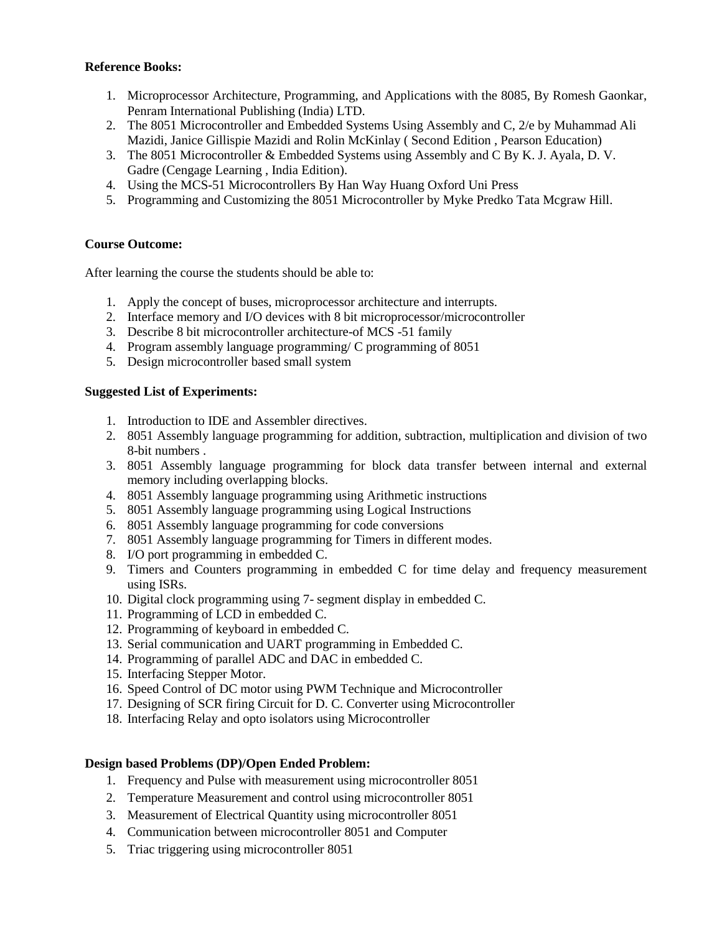## **Reference Books:**

- 1. Microprocessor Architecture, Programming, and Applications with the 8085, By Romesh Gaonkar, Penram International Publishing (India) LTD.
- 2. The 8051 Microcontroller and Embedded Systems Using Assembly and C, 2/e by Muhammad Ali Mazidi, Janice Gillispie Mazidi and Rolin McKinlay ( Second Edition , Pearson Education)
- 3. The 8051 Microcontroller & Embedded Systems using Assembly and C By K. J. Ayala, D. V. Gadre (Cengage Learning , India Edition).
- 4. Using the MCS-51 Microcontrollers By Han Way Huang Oxford Uni Press
- 5. Programming and Customizing the 8051 Microcontroller by Myke Predko Tata Mcgraw Hill.

## **Course Outcome:**

After learning the course the students should be able to:

- 1. Apply the concept of buses, microprocessor architecture and interrupts.
- 2. Interface memory and I/O devices with 8 bit microprocessor/microcontroller
- 3. Describe 8 bit microcontroller architecture-of MCS -51 family
- 4. Program assembly language programming/ C programming of 8051
- 5. Design microcontroller based small system

## **Suggested List of Experiments:**

- 1. Introduction to IDE and Assembler directives.
- 2. 8051 Assembly language programming for addition, subtraction, multiplication and division of two 8-bit numbers .
- 3. 8051 Assembly language programming for block data transfer between internal and external memory including overlapping blocks.
- 4. 8051 Assembly language programming using Arithmetic instructions
- 5. 8051 Assembly language programming using Logical Instructions
- 6. 8051 Assembly language programming for code conversions
- 7. 8051 Assembly language programming for Timers in different modes.
- 8. I/O port programming in embedded C.
- 9. Timers and Counters programming in embedded C for time delay and frequency measurement using ISRs.
- 10. Digital clock programming using 7- segment display in embedded C.
- 11. Programming of LCD in embedded C.
- 12. Programming of keyboard in embedded C.
- 13. Serial communication and UART programming in Embedded C.
- 14. Programming of parallel ADC and DAC in embedded C.
- 15. Interfacing Stepper Motor.
- 16. Speed Control of DC motor using PWM Technique and Microcontroller
- 17. Designing of SCR firing Circuit for D. C. Converter using Microcontroller
- 18. Interfacing Relay and opto isolators using Microcontroller

## **Design based Problems (DP)/Open Ended Problem:**

- 1. Frequency and Pulse with measurement using microcontroller 8051
- 2. Temperature Measurement and control using microcontroller 8051
- 3. Measurement of Electrical Quantity using microcontroller 8051
- 4. Communication between microcontroller 8051 and Computer
- 5. Triac triggering using microcontroller 8051